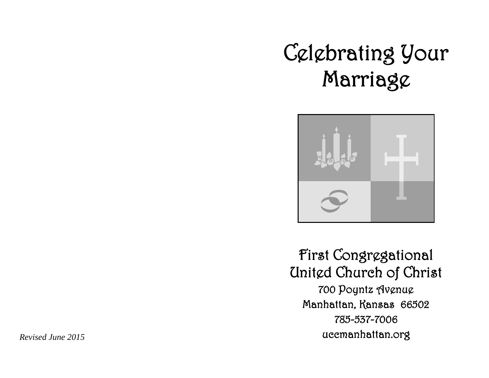# Celebrating Your Marriage



First Congregational United Church of Christ 700 Poyntz Avenue Manhattan, Kansas 66502 785-537-7006 uccmanhattan.org

*Revised June 2015*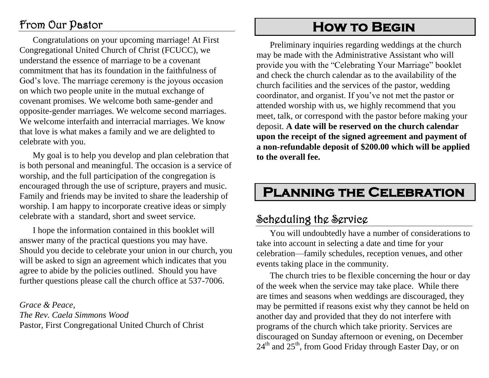## From Our Pastor

Congratulations on your upcoming marriage! At First Congregational United Church of Christ (FCUCC), we understand the essence of marriage to be a covenant commitment that has its foundation in the faithfulness of God's love. The marriage ceremony is the joyous occasion on which two people unite in the mutual exchange of covenant promises. We welcome both same-gender and opposite-gender marriages. We welcome second marriages. We welcome interfaith and interracial marriages. We know that love is what makes a family and we are delighted to celebrate with you.

My goal is to help you develop and plan celebration that is both personal and meaningful. The occasion is a service of worship, and the full participation of the congregation is encouraged through the use of scripture, prayers and music. Family and friends may be invited to share the leadership of worship. I am happy to incorporate creative ideas or simply celebrate with a standard, short and sweet service.

I hope the information contained in this booklet will answer many of the practical questions you may have. Should you decide to celebrate your union in our church, you will be asked to sign an agreement which indicates that you agree to abide by the policies outlined. Should you have further questions please call the church office at 537-7006.

*Grace & Peace, The Rev. Caela Simmons Wood* Pastor, First Congregational United Church of Christ

# **How to Begin**

Preliminary inquiries regarding weddings at the church may be made with the Administrative Assistant who will provide you with the "Celebrating Your Marriage" booklet and check the church calendar as to the availability of the church facilities and the services of the pastor, wedding coordinator, and organist. If you've not met the pastor or attended worship with us, we highly recommend that you meet, talk, or correspond with the pastor before making your deposit. **A date will be reserved on the church calendar upon the receipt of the signed agreement and payment of a non-refundable deposit of \$200.00 which will be applied to the overall fee.**

# **Planning the Celebration**

## Scheduling the Service

You will undoubtedly have a number of considerations to take into account in selecting a date and time for your celebration—family schedules, reception venues, and other events taking place in the community.

The church tries to be flexible concerning the hour or day of the week when the service may take place. While there are times and seasons when weddings are discouraged, they may be permitted if reasons exist why they cannot be held on another day and provided that they do not interfere with programs of the church which take priority. Services are discouraged on Sunday afternoon or evening, on December  $24<sup>th</sup>$  and  $25<sup>th</sup>$ , from Good Friday through Easter Day, or on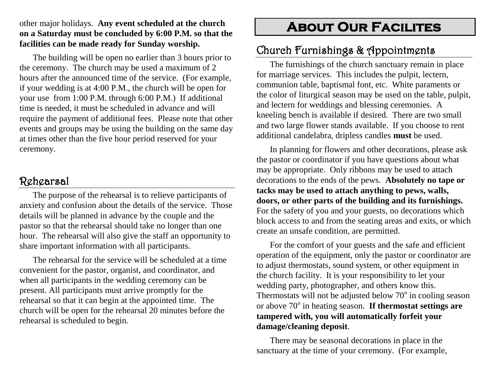#### other major holidays. **Any event scheduled at the church on a Saturday must be concluded by 6:00 P.M. so that the facilities can be made ready for Sunday worship.**

The building will be open no earlier than 3 hours prior to the ceremony. The church may be used a maximum of 2 hours after the announced time of the service. (For example, if your wedding is at 4:00 P.M., the church will be open for your use from 1:00 P.M. through 6:00 P.M.) If additional time is needed, it must be scheduled in advance and will require the payment of additional fees. Please note that other events and groups may be using the building on the same day at times other than the five hour period reserved for your ceremony.

## Rehearsal

The purpose of the rehearsal is to relieve participants of anxiety and confusion about the details of the service. Those details will be planned in advance by the couple and the pastor so that the rehearsal should take no longer than one hour. The rehearsal will also give the staff an opportunity to share important information with all participants.

The rehearsal for the service will be scheduled at a time convenient for the pastor, organist, and coordinator, and when all participants in the wedding ceremony can be present. All participants must arrive promptly for the rehearsal so that it can begin at the appointed time. The church will be open for the rehearsal 20 minutes before the rehearsal is scheduled to begin.

# **About Our Facilites**

## Church Furnishings & Appointments

The furnishings of the church sanctuary remain in place for marriage services. This includes the pulpit, lectern, communion table, baptismal font, etc. White paraments or the color of liturgical season may be used on the table, pulpit, and lectern for weddings and blessing ceremonies. A kneeling bench is available if desired. There are two small and two large flower stands available. If you choose to rent additional candelabra, dripless candles **must** be used.

In planning for flowers and other decorations, please ask the pastor or coordinator if you have questions about what may be appropriate. Only ribbons may be used to attach decorations to the ends of the pews. **Absolutely no tape or tacks may be used to attach anything to pews, walls, doors, or other parts of the building and its furnishings.** For the safety of you and your guests, no decorations which block access to and from the seating areas and exits, or which create an unsafe condition, are permitted.

For the comfort of your guests and the safe and efficient operation of the equipment, only the pastor or coordinator are to adjust thermostats, sound system, or other equipment in the church facility. It is your responsibility to let your wedding party, photographer, and others know this. Thermostats will not be adjusted below  $70^{\circ}$  in cooling season or above 70° in heating season. If thermostat settings are **tampered with, you will automatically forfeit your damage/cleaning deposit**.

There may be seasonal decorations in place in the sanctuary at the time of your ceremony. (For example,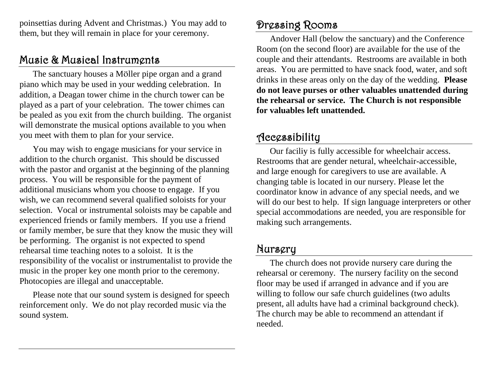poinsettias during Advent and Christmas.) You may add to them, but they will remain in place for your ceremony.

## Music & Musical Instruments

The sanctuary houses a Möller pipe organ and a grand piano which may be used in your wedding celebration. In addition, a Deagan tower chime in the church tower can be played as a part of your celebration. The tower chimes can be pealed as you exit from the church building. The organist will demonstrate the musical options available to you when you meet with them to plan for your service.

You may wish to engage musicians for your service in addition to the church organist. This should be discussed with the pastor and organist at the beginning of the planning process. You will be responsible for the payment of additional musicians whom you choose to engage. If you wish, we can recommend several qualified soloists for your selection. Vocal or instrumental soloists may be capable and experienced friends or family members. If you use a friend or family member, be sure that they know the music they will be performing. The organist is not expected to spend rehearsal time teaching notes to a soloist. It is the responsibility of the vocalist or instrumentalist to provide the music in the proper key one month prior to the ceremony. Photocopies are illegal and unacceptable.

Please note that our sound system is designed for speech reinforcement only. We do not play recorded music via the sound system.

## Dressing Rooms

Andover Hall (below the sanctuary) and the Conference Room (on the second floor) are available for the use of the couple and their attendants. Restrooms are available in both areas. You are permitted to have snack food, water, and soft drinks in these areas only on the day of the wedding. **Please do not leave purses or other valuables unattended during the rehearsal or service. The Church is not responsible for valuables left unattended.** 

## Accessibility

Our faciliy is fully accessible for wheelchair access. Restrooms that are gender netural, wheelchair-accessible, and large enough for caregivers to use are available. A changing table is located in our nursery. Please let the coordinator know in advance of any special needs, and we will do our best to help. If sign language interpreters or other special accommodations are needed, you are responsible for making such arrangements.

#### Nursery

The church does not provide nursery care during the rehearsal or ceremony. The nursery facility on the second floor may be used if arranged in advance and if you are willing to follow our safe church guidelines (two adults present, all adults have had a criminal background check). The church may be able to recommend an attendant if needed.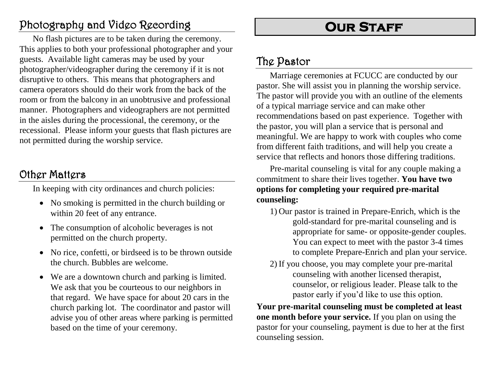# Photography and Video Recording

No flash pictures are to be taken during the ceremony. This applies to both your professional photographer and your guests. Available light cameras may be used by your photographer/videographer during the ceremony if it is not disruptive to others. This means that photographers and camera operators should do their work from the back of the room or from the balcony in an unobtrusive and professional manner. Photographers and videographers are not permitted in the aisles during the processional, the ceremony, or the recessional. Please inform your guests that flash pictures are not permitted during the worship service.

## Other Matters

In keeping with city ordinances and church policies:

- No smoking is permitted in the church building or within 20 feet of any entrance.
- The consumption of alcoholic beverages is not permitted on the church property.
- No rice, confetti, or birdseed is to be thrown outside the church. Bubbles are welcome.
- We are a downtown church and parking is limited. We ask that you be courteous to our neighbors in that regard. We have space for about 20 cars in the church parking lot. The coordinator and pastor will advise you of other areas where parking is permitted based on the time of your ceremony.

# **OUR STAFF**

## The Pastor

Marriage ceremonies at FCUCC are conducted by our pastor. She will assist you in planning the worship service. The pastor will provide you with an outline of the elements of a typical marriage service and can make other recommendations based on past experience. Together with the pastor, you will plan a service that is personal and meaningful. We are happy to work with couples who come from different faith traditions, and will help you create a service that reflects and honors those differing traditions.

Pre-marital counseling is vital for any couple making a commitment to share their lives together. **You have two options for completing your required pre-marital counseling:**

- 1) Our pastor is trained in Prepare-Enrich, which is the gold-standard for pre-marital counseling and is appropriate for same- or opposite-gender couples. You can expect to meet with the pastor 3-4 times to complete Prepare-Enrich and plan your service.
- 2) If you choose, you may complete your pre-marital counseling with another licensed therapist, counselor, or religious leader. Please talk to the pastor early if you'd like to use this option.

**Your pre-marital counseling must be completed at least one month before your service.** If you plan on using the pastor for your counseling, payment is due to her at the first counseling session.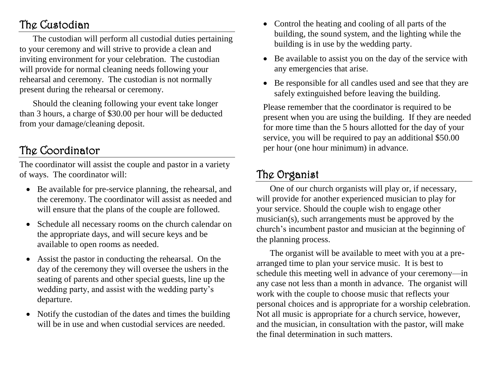# The Custodian

The custodian will perform all custodial duties pertaining to your ceremony and will strive to provide a clean and inviting environment for your celebration. The custodian will provide for normal cleaning needs following your rehearsal and ceremony. The custodian is not normally present during the rehearsal or ceremony.

Should the cleaning following your event take longer than 3 hours, a charge of \$30.00 per hour will be deducted from your damage/cleaning deposit.

## The Coordinator

The coordinator will assist the couple and pastor in a variety of ways. The coordinator will:

- Be available for pre-service planning, the rehearsal, and the ceremony. The coordinator will assist as needed and will ensure that the plans of the couple are followed.
- Schedule all necessary rooms on the church calendar on the appropriate days, and will secure keys and be available to open rooms as needed.
- Assist the pastor in conducting the rehearsal. On the day of the ceremony they will oversee the ushers in the seating of parents and other special guests, line up the wedding party, and assist with the wedding party's departure.
- Notify the custodian of the dates and times the building will be in use and when custodial services are needed.
- Control the heating and cooling of all parts of the building, the sound system, and the lighting while the building is in use by the wedding party.
- Be available to assist you on the day of the service with any emergencies that arise.
- Be responsible for all candles used and see that they are safely extinguished before leaving the building.

Please remember that the coordinator is required to be present when you are using the building. If they are needed for more time than the 5 hours allotted for the day of your service, you will be required to pay an additional \$50.00 per hour (one hour minimum) in advance.

# The Organist

One of our church organists will play or, if necessary, will provide for another experienced musician to play for your service. Should the couple wish to engage other musician(s), such arrangements must be approved by the church's incumbent pastor and musician at the beginning of the planning process.

The organist will be available to meet with you at a prearranged time to plan your service music. It is best to schedule this meeting well in advance of your ceremony—in any case not less than a month in advance. The organist will work with the couple to choose music that reflects your personal choices and is appropriate for a worship celebration. Not all music is appropriate for a church service, however, and the musician, in consultation with the pastor, will make the final determination in such matters.